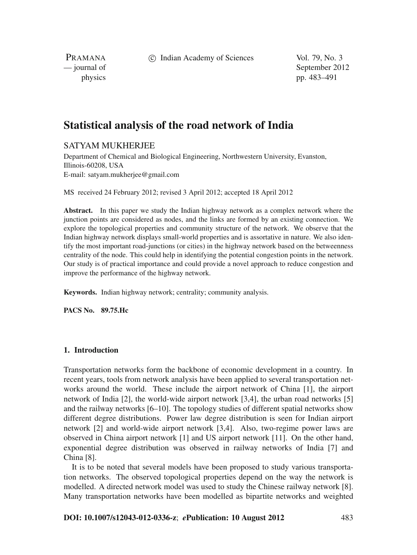c Indian Academy of Sciences Vol. 79, No. 3

PRAMANA

— journal of September 2012 physics pp. 483–491

# **Statistical analysis of the road network of India**

## SATYAM MUKHERJEE

Department of Chemical and Biological Engineering, Northwestern University, Evanston, Illinois-60208, USA E-mail: satyam.mukherjee@gmail.com

MS received 24 February 2012; revised 3 April 2012; accepted 18 April 2012

**Abstract.** In this paper we study the Indian highway network as a complex network where the junction points are considered as nodes, and the links are formed by an existing connection. We explore the topological properties and community structure of the network. We observe that the Indian highway network displays small-world properties and is assortative in nature. We also identify the most important road-junctions (or cities) in the highway network based on the betweenness centrality of the node. This could help in identifying the potential congestion points in the network. Our study is of practical importance and could provide a novel approach to reduce congestion and improve the performance of the highway network.

**Keywords.** Indian highway network; centrality; community analysis.

**PACS No. 89.75.Hc**

### **1. Introduction**

Transportation networks form the backbone of economic development in a country. In recent years, tools from network analysis have been applied to several transportation networks around the world. These include the airport network of China [1], the airport network of India [2], the world-wide airport network [3,4], the urban road networks [5] and the railway networks [6–10]. The topology studies of different spatial networks show different degree distributions. Power law degree distribution is seen for Indian airport network [2] and world-wide airport network [3,4]. Also, two-regime power laws are observed in China airport network [1] and US airport network [11]. On the other hand, exponential degree distribution was observed in railway networks of India [7] and China [8].

It is to be noted that several models have been proposed to study various transportation networks. The observed topological properties depend on the way the network is modelled. A directed network model was used to study the Chinese railway network [8]. Many transportation networks have been modelled as bipartite networks and weighted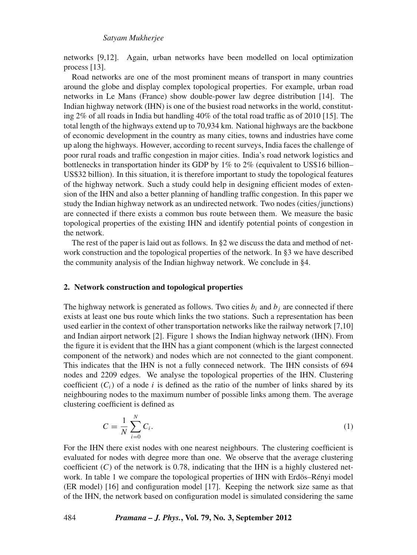networks [9,12]. Again, urban networks have been modelled on local optimization process [13].

Road networks are one of the most prominent means of transport in many countries around the globe and display complex topological properties. For example, urban road networks in Le Mans (France) show double-power law degree distribution [14]. The Indian highway network (IHN) is one of the busiest road networks in the world, constituting 2% of all roads in India but handling 40% of the total road traffic as of 2010 [15]. The total length of the highways extend up to 70,934 km. National highways are the backbone of economic development in the country as many cities, towns and industries have come up along the highways. However, according to recent surveys, India faces the challenge of poor rural roads and traffic congestion in major cities. India's road network logistics and bottlenecks in transportation hinder its GDP by 1% to 2% (equivalent to US\$16 billion– US\$32 billion). In this situation, it is therefore important to study the topological features of the highway network. Such a study could help in designing efficient modes of extension of the IHN and also a better planning of handling traffic congestion. In this paper we study the Indian highway network as an undirected network. Two nodes (cities/junctions) are connected if there exists a common bus route between them. We measure the basic topological properties of the existing IHN and identify potential points of congestion in the network.

The rest of the paper is laid out as follows. In §2 we discuss the data and method of network construction and the topological properties of the network. In §3 we have described the community analysis of the Indian highway network. We conclude in §4.

#### **2. Network construction and topological properties**

The highway network is generated as follows. Two cities  $b_i$  and  $b_j$  are connected if there exists at least one bus route which links the two stations. Such a representation has been used earlier in the context of other transportation networks like the railway network [7,10] and Indian airport network [2]. Figure 1 shows the Indian highway network (IHN). From the figure it is evident that the IHN has a giant component (which is the largest connected component of the network) and nodes which are not connected to the giant component. This indicates that the IHN is not a fully conneced network. The IHN consists of 694 nodes and 2209 edges. We analyse the topological properties of the IHN. Clustering coefficient  $(C_i)$  of a node *i* is defined as the ratio of the number of links shared by its neighbouring nodes to the maximum number of possible links among them. The average clustering coefficient is defined as

$$
C = \frac{1}{N} \sum_{i=0}^{N} C_i.
$$
 (1)

For the IHN there exist nodes with one nearest neighbours. The clustering coefficient is evaluated for nodes with degree more than one. We observe that the average clustering coefficient  $(C)$  of the network is 0.78, indicating that the IHN is a highly clustered network. In table 1 we compare the topological properties of IHN with Erdös–Rényi model (ER model) [16] and configuration model [17]. Keeping the network size same as that of the IHN, the network based on configuration model is simulated considering the same

#### 484 *Pramana – J. Phys.***, Vol. 79, No. 3, September 2012**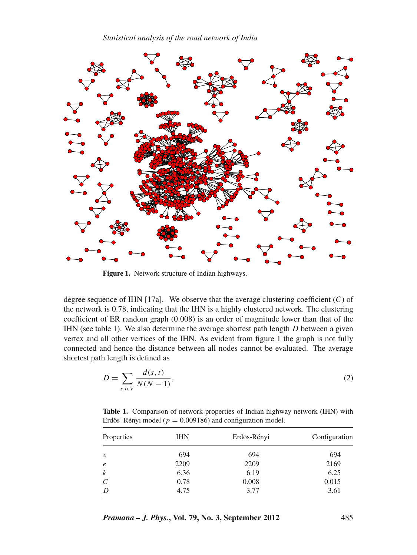

**Figure 1.** Network structure of Indian highways.

degree sequence of IHN [17a]. We observe that the average clustering coefficient (*C*) of the network is 0.78, indicating that the IHN is a highly clustered network. The clustering coefficient of ER random graph (0.008) is an order of magnitude lower than that of the IHN (see table 1). We also determine the average shortest path length *D* between a given vertex and all other vertices of the IHN. As evident from figure 1 the graph is not fully connected and hence the distance between all nodes cannot be evaluated. The average shortest path length is defined as

$$
D = \sum_{s,t \in V} \frac{d(s,t)}{N(N-1)},\tag{2}
$$

**Table 1.** Comparison of network properties of Indian highway network (IHN) with Erdös–Rényi model ( $p = 0.009186$ ) and configuration model.

| Properties       | IHN  | Erdös-Rényi | Configuration |
|------------------|------|-------------|---------------|
| $\boldsymbol{v}$ | 694  | 694         | 694           |
| $\epsilon$       | 2209 | 2209        | 2169          |
| $\bar{k}$        | 6.36 | 6.19        | 6.25          |
|                  | 0.78 | 0.008       | 0.015         |
|                  | 4.75 | 3.77        | 3.61          |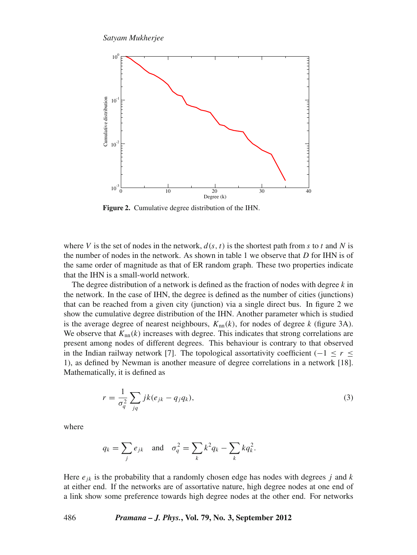

**Figure 2.** Cumulative degree distribution of the IHN.

where *V* is the set of nodes in the network,  $d(s, t)$  is the shortest path from *s* to *t* and *N* is the number of nodes in the network. As shown in table 1 we observe that *D* for IHN is of the same order of magnitude as that of ER random graph. These two properties indicate that the IHN is a small-world network.

The degree distribution of a network is defined as the fraction of nodes with degree *k* in the network. In the case of IHN, the degree is defined as the number of cities (junctions) that can be reached from a given city (junction) via a single direct bus. In figure 2 we show the cumulative degree distribution of the IHN. Another parameter which is studied is the average degree of nearest neighbours,  $K_{nn}(k)$ , for nodes of degree *k* (figure 3A). We observe that  $K_{nn}(k)$  increases with degree. This indicates that strong correlations are present among nodes of different degrees. This behaviour is contrary to that observed in the Indian railway network [7]. The topological assortativity coefficient ( $-1 \le r \le$ 1), as defined by Newman is another measure of degree correlations in a network [18]. Mathematically, it is defined as

$$
r = \frac{1}{\sigma_q^2} \sum_{jq} jk(e_{jk} - q_j q_k),\tag{3}
$$

where

$$
q_k = \sum_j e_{jk} \quad \text{and} \quad \sigma_q^2 = \sum_k k^2 q_k - \sum_k k q_k^2.
$$

Here  $e_{ik}$  is the probability that a randomly chosen edge has nodes with degrees *j* and *k* at either end. If the networks are of assortative nature, high degree nodes at one end of a link show some preference towards high degree nodes at the other end. For networks

#### 486 *Pramana – J. Phys.***, Vol. 79, No. 3, September 2012**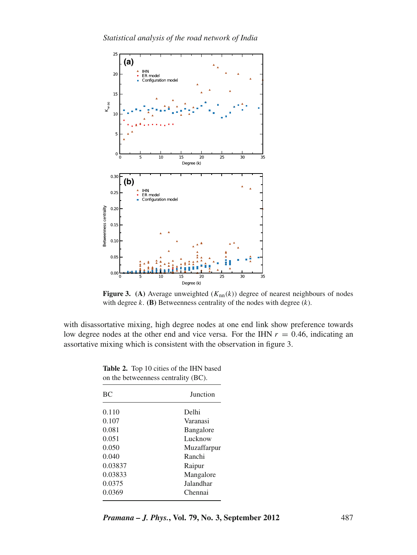

**Figure 3.** (A) Average unweighted  $(K_{nn}(k))$  degree of nearest neighbours of nodes with degree *k*. **(B)** Betweenness centrality of the nodes with degree (*k*).

with disassortative mixing, high degree nodes at one end link show preference towards low degree nodes at the other end and vice versa. For the IHN  $r = 0.46$ , indicating an assortative mixing which is consistent with the observation in figure 3.

| Delhi<br>0.110<br>0.107<br>Varanasi<br>0.081<br><b>Bangalore</b><br>0.051<br>Lucknow<br>0.050<br>Muzaffarpur | <b>Iunction</b> |  |
|--------------------------------------------------------------------------------------------------------------|-----------------|--|
|                                                                                                              |                 |  |
|                                                                                                              |                 |  |
|                                                                                                              |                 |  |
|                                                                                                              |                 |  |
|                                                                                                              |                 |  |
| 0.040<br>Ranchi                                                                                              |                 |  |
| 0.03837<br>Raipur                                                                                            |                 |  |
| 0.03833<br>Mangalore                                                                                         |                 |  |
| 0.0375<br>Jalandhar                                                                                          |                 |  |
| 0.0369<br>Chennai                                                                                            |                 |  |

**Table 2.** Top 10 cities of the IHN based on the betweenness centrality (BC).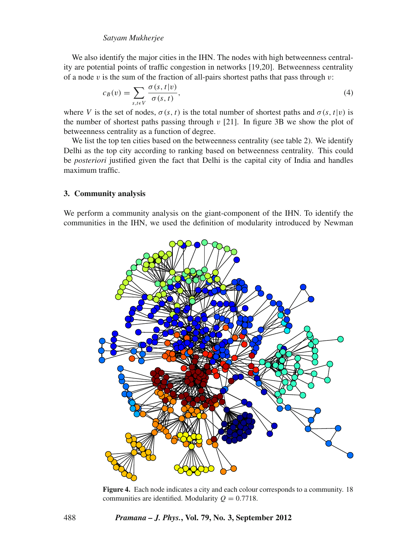### *Satyam Mukherjee*

We also identify the major cities in the IHN. The nodes with high betweenness centrality are potential points of traffic congestion in networks [19,20]. Betweenness centrality of a node v is the sum of the fraction of all-pairs shortest paths that pass through  $v$ :

$$
c_B(v) = \sum_{s,t \in V} \frac{\sigma(s,t|v)}{\sigma(s,t)},
$$
\n(4)

where *V* is the set of nodes,  $\sigma(s, t)$  is the total number of shortest paths and  $\sigma(s, t|v)$  is the number of shortest paths passing through  $v$  [21]. In figure 3B we show the plot of betweenness centrality as a function of degree.

We list the top ten cities based on the betweenness centrality (see table 2). We identify Delhi as the top city according to ranking based on betweenness centrality. This could be *posteriori* justified given the fact that Delhi is the capital city of India and handles maximum traffic.

#### **3. Community analysis**

We perform a community analysis on the giant-component of the IHN. To identify the communities in the IHN, we used the definition of modularity introduced by Newman



**Figure 4.** Each node indicates a city and each colour corresponds to a community. 18 communities are identified. Modularity  $Q = 0.7718$ .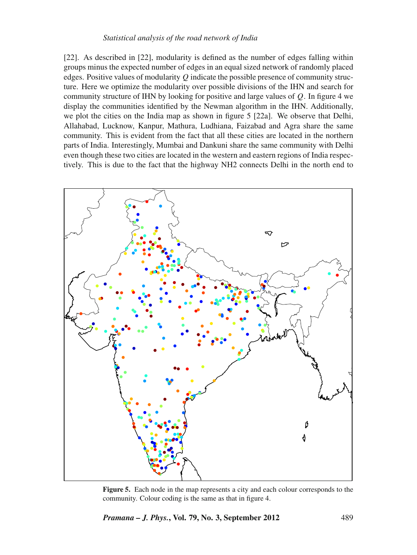#### *Statistical analysis of the road network of India*

[22]. As described in [22], modularity is defined as the number of edges falling within groups minus the expected number of edges in an equal sized network of randomly placed edges. Positive values of modularity *Q* indicate the possible presence of community structure. Here we optimize the modularity over possible divisions of the IHN and search for community structure of IHN by looking for positive and large values of *Q*. In figure 4 we display the communities identified by the Newman algorithm in the IHN. Additionally, we plot the cities on the India map as shown in figure 5 [22a]. We observe that Delhi, Allahabad, Lucknow, Kanpur, Mathura, Ludhiana, Faizabad and Agra share the same community. This is evident from the fact that all these cities are located in the northern parts of India. Interestingly, Mumbai and Dankuni share the same community with Delhi even though these two cities are located in the western and eastern regions of India respectively. This is due to the fact that the highway NH2 connects Delhi in the north end to



**Figure 5.** Each node in the map represents a city and each colour corresponds to the community. Colour coding is the same as that in figure 4.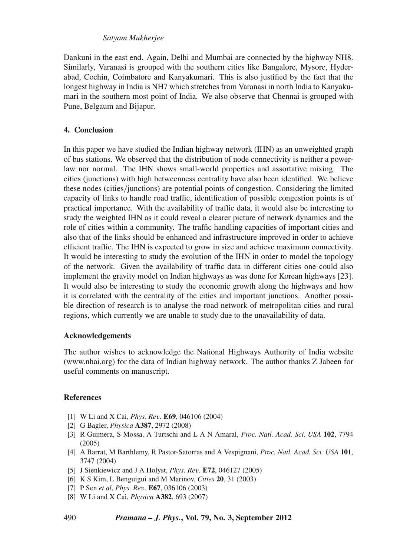## *Satyam Mukherjee*

Dankuni in the east end. Again, Delhi and Mumbai are connected by the highway NH8. Similarly, Varanasi is grouped with the southern cities like Bangalore, Mysore, Hyderabad, Cochin, Coimbatore and Kanyakumari. This is also justified by the fact that the longest highway in India is NH7 which stretches from Varanasi in north India to Kanyakumari in the southern most point of India. We also observe that Chennai is grouped with Pune, Belgaum and Bijapur.

## **4. Conclusion**

In this paper we have studied the Indian highway network (IHN) as an unweighted graph of bus stations. We observed that the distribution of node connectivity is neither a powerlaw nor normal. The IHN shows small-world properties and assortative mixing. The cities (junctions) with high betweenness centrality have also been identified. We believe these nodes (cities/junctions) are potential points of congestion. Considering the limited capacity of links to handle road traffic, identification of possible congestion points is of practical importance. With the availability of traffic data, it would also be interesting to study the weighted IHN as it could reveal a clearer picture of network dynamics and the role of cities within a community. The traffic handling capacities of important cities and also that of the links should be enhanced and infrastructure improved in order to achieve efficient traffic. The IHN is expected to grow in size and achieve maximum connectivity. It would be interesting to study the evolution of the IHN in order to model the topology of the network. Given the availability of traffic data in different cities one could also implement the gravity model on Indian highways as was done for Korean highways [23]. It would also be interesting to study the economic growth along the highways and how it is correlated with the centrality of the cities and important junctions. Another possible direction of research is to analyse the road network of metropolitan cities and rural regions, which currently we are unable to study due to the unavailability of data.

### **Acknowledgements**

The author wishes to acknowledge the National Highways Authority of India website (www.nhai.org) for the data of Indian highway network. The author thanks Z Jabeen for useful comments on manuscript.

### **References**

- [1] W Li and X Cai, *Phys. Re*v*.* **E69**, 046106 (2004)
- [2] G Bagler, *Physica* **A387**, 2972 (2008)
- [3] R Guimera, S Mossa, A Turtschi and L A N Amaral, *Proc. Natl. Acad. Sci. USA* **102**, 7794 (2005)
- [4] A Barrat, M Barthlemy, R Pastor-Satorras and A Vespignani, *Proc. Natl. Acad. Sci. USA* **101**, 3747 (2004)
- [5] J Sienkiewicz and J A Holyst, *Phys. Re*v*.* **E72**, 046127 (2005)
- [6] K S Kim, L Benguigui and M Marinov, *Cities* **20**, 31 (2003)
- [7] P Sen *et al*, *Phys. Re*v*.* **E67**, 036106 (2003)
- [8] W Li and X Cai, *Physica* **A382**, 693 (2007)